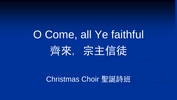## O Come, all Ye faithful 齊來, 宗主信徒

## Christmas Choir 聖誕詩班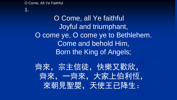1.

## O Come, all Ye faithful Joyful and triumphant, O come ye, O come ye to Bethlehem. Come and behold Him, Born the King of Angels;

齊來,宗主信徒,快樂又歡欣, 齊來,一齊來,大家上伯利恆, 來朝見聖嬰,天使王已降生: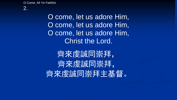O come, let us adore Him, O come, let us adore Him, O come, let us adore Him, Christ the Lord.

齊來虔誠同崇拜, 齊來虔誠同崇拜, 齊來虔誠同崇拜主基督。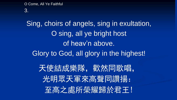3.

Sing, choirs of angels, sing in exultation, O sing, all ye bright host of heav'n above. Glory to God, all glory in the highest! 天使結成樂隊,歡然同歌唱, 光明眾天軍來高聲同讚揚: 至高之處所榮耀歸於君王!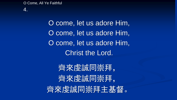4.

O come, let us adore Him, O come, let us adore Him, O come, let us adore Him, Christ the Lord.

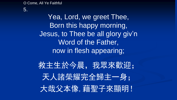## 5.

Yea, Lord, we greet Thee, Born this happy morning, Jesus, to Thee be all glory giv'n Word of the Father, now in flesh appearing;

救主生於今晨,我眾來歡迎; 天人諸榮耀完全歸主一身; 大哉父本像,藉聖子來顯明!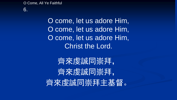6.

O come, let us adore Him, O come, let us adore Him, O come, let us adore Him, Christ the Lord.

齊來虔誠同崇拜, 齊來虔誠同崇拜, 齊來虔誠同崇拜主基督。